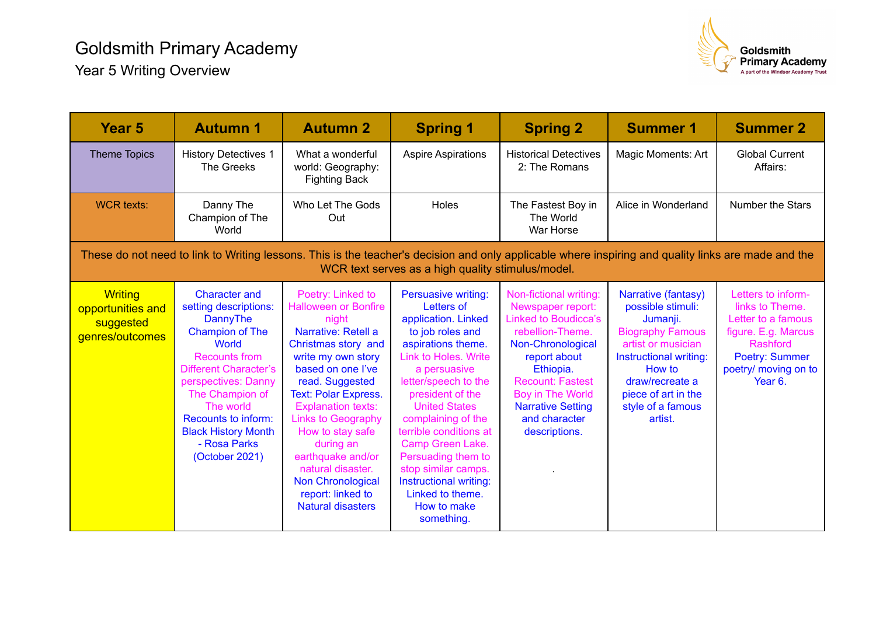

| Year 5                                                                                                                                                                                                   | <b>Autumn 1</b>                                                                                                                                                                                                                                                                                                  | <b>Autumn 2</b>                                                                                                                                                                                                                                                                                                                                                                                                 | <b>Spring 1</b>                                                                                                                                                                                                                                                                                                                                                                                            | <b>Spring 2</b>                                                                                                                                                                                                                                               | <b>Summer 1</b>                                                                                                                                                                                                     | <b>Summer 2</b>                                                                                                                                            |  |  |  |  |
|----------------------------------------------------------------------------------------------------------------------------------------------------------------------------------------------------------|------------------------------------------------------------------------------------------------------------------------------------------------------------------------------------------------------------------------------------------------------------------------------------------------------------------|-----------------------------------------------------------------------------------------------------------------------------------------------------------------------------------------------------------------------------------------------------------------------------------------------------------------------------------------------------------------------------------------------------------------|------------------------------------------------------------------------------------------------------------------------------------------------------------------------------------------------------------------------------------------------------------------------------------------------------------------------------------------------------------------------------------------------------------|---------------------------------------------------------------------------------------------------------------------------------------------------------------------------------------------------------------------------------------------------------------|---------------------------------------------------------------------------------------------------------------------------------------------------------------------------------------------------------------------|------------------------------------------------------------------------------------------------------------------------------------------------------------|--|--|--|--|
| <b>Theme Topics</b>                                                                                                                                                                                      | <b>History Detectives 1</b><br>The Greeks                                                                                                                                                                                                                                                                        | What a wonderful<br>world: Geography:<br><b>Fighting Back</b>                                                                                                                                                                                                                                                                                                                                                   | <b>Aspire Aspirations</b>                                                                                                                                                                                                                                                                                                                                                                                  | <b>Historical Detectives</b><br>2: The Romans                                                                                                                                                                                                                 | Magic Moments: Art                                                                                                                                                                                                  | <b>Global Current</b><br>Affairs:                                                                                                                          |  |  |  |  |
| <b>WCR texts:</b>                                                                                                                                                                                        | Danny The<br>Champion of The<br>World                                                                                                                                                                                                                                                                            | Who Let The Gods<br>Out                                                                                                                                                                                                                                                                                                                                                                                         | Holes                                                                                                                                                                                                                                                                                                                                                                                                      | The Fastest Boy in<br>The World<br>War Horse                                                                                                                                                                                                                  | Alice in Wonderland                                                                                                                                                                                                 | Number the Stars                                                                                                                                           |  |  |  |  |
| These do not need to link to Writing lessons. This is the teacher's decision and only applicable where inspiring and quality links are made and the<br>WCR text serves as a high quality stimulus/model. |                                                                                                                                                                                                                                                                                                                  |                                                                                                                                                                                                                                                                                                                                                                                                                 |                                                                                                                                                                                                                                                                                                                                                                                                            |                                                                                                                                                                                                                                                               |                                                                                                                                                                                                                     |                                                                                                                                                            |  |  |  |  |
| <b>Writing</b><br>opportunities and<br>suggested<br>genres/outcomes                                                                                                                                      | <b>Character and</b><br>setting descriptions:<br><b>DannyThe</b><br><b>Champion of The</b><br><b>World</b><br><b>Recounts from</b><br><b>Different Character's</b><br>perspectives: Danny<br>The Champion of<br>The world<br>Recounts to inform:<br><b>Black History Month</b><br>- Rosa Parks<br>(October 2021) | Poetry: Linked to<br><b>Halloween or Bonfire</b><br>night<br>Narrative: Retell a<br>Christmas story and<br>write my own story<br>based on one I've<br>read. Suggested<br><b>Text: Polar Express.</b><br><b>Explanation texts:</b><br><b>Links to Geography</b><br>How to stay safe<br>during an<br>earthquake and/or<br>natural disaster.<br>Non Chronological<br>report: linked to<br><b>Natural disasters</b> | Persuasive writing:<br>Letters of<br>application. Linked<br>to job roles and<br>aspirations theme.<br>Link to Holes. Write<br>a persuasive<br>letter/speech to the<br>president of the<br><b>United States</b><br>complaining of the<br>terrible conditions at<br>Camp Green Lake.<br>Persuading them to<br>stop similar camps.<br>Instructional writing:<br>Linked to theme.<br>How to make<br>something. | Non-fictional writing:<br>Newspaper report:<br><b>Linked to Boudicca's</b><br>rebellion-Theme.<br>Non-Chronological<br>report about<br>Ethiopia.<br><b>Recount: Fastest</b><br>Boy in The World<br><b>Narrative Setting</b><br>and character<br>descriptions. | Narrative (fantasy)<br>possible stimuli:<br>Jumanji.<br><b>Biography Famous</b><br>artist or musician<br>Instructional writing:<br>How to<br>draw/recreate a<br>piece of art in the<br>style of a famous<br>artist. | Letters to inform-<br>links to Theme.<br>Letter to a famous<br>figure. E.g. Marcus<br>Rashford<br><b>Poetry: Summer</b><br>poetry/ moving on to<br>Year 6. |  |  |  |  |